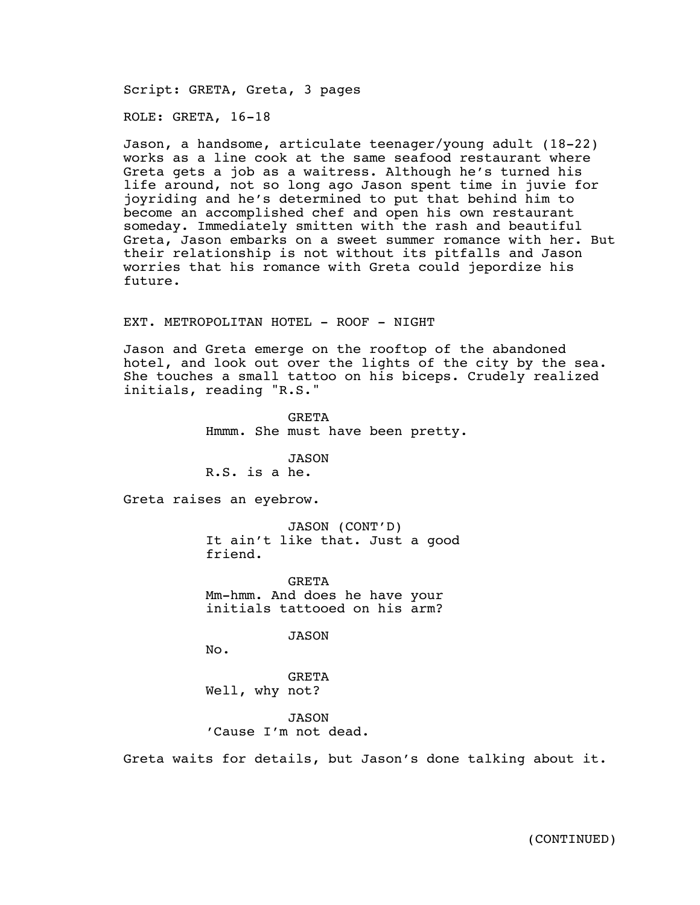Script: GRETA, Greta, 3 pages

ROLE: GRETA, 16-18

Jason, a handsome, articulate teenager/young adult (18-22) works as a line cook at the same seafood restaurant where Greta gets a job as a waitress. Although he's turned his life around, not so long ago Jason spent time in juvie for joyriding and he's determined to put that behind him to become an accomplished chef and open his own restaurant someday. Immediately smitten with the rash and beautiful Greta, Jason embarks on a sweet summer romance with her. But their relationship is not without its pitfalls and Jason worries that his romance with Greta could jepordize his future.

EXT. METROPOLITAN HOTEL - ROOF - NIGHT

Jason and Greta emerge on the rooftop of the abandoned hotel, and look out over the lights of the city by the sea. She touches a small tattoo on his biceps. Crudely realized initials, reading "R.S."

> **GRETA** Hmmm. She must have been pretty.

JASON R.S. is a he.

Greta raises an eyebrow.

JASON (CONT'D) It ain't like that. Just a good friend.

GRETA Mm-hmm. And does he have your initials tattooed on his arm?

JASON

No.

GRETA Well, why not?

JASON 'Cause I'm not dead.

Greta waits for details, but Jason's done talking about it.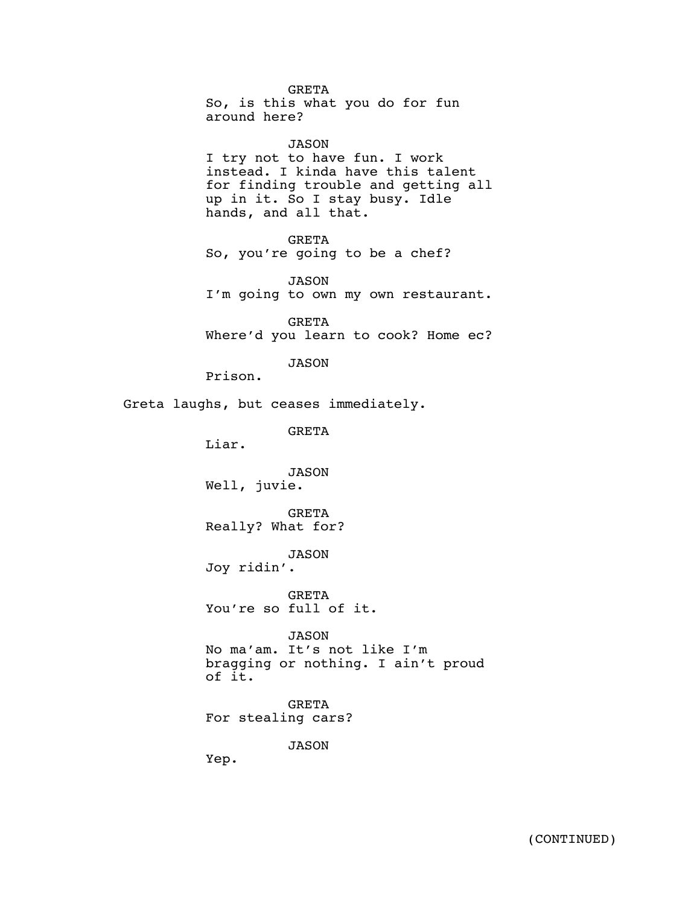GRETA So, is this what you do for fun around here?

JASON I try not to have fun. I work instead. I kinda have this talent for finding trouble and getting all up in it. So I stay busy. Idle hands, and all that.

GRETA So, you're going to be a chef?

JASON I'm going to own my own restaurant.

GRETA Where'd you learn to cook? Home ec?

JASON

Prison.

Greta laughs, but ceases immediately.

GRETA

Liar.

JASON Well, juvie.

GRETA Really? What for?

JASON Joy ridin'.

GRETA You're so full of it.

JASON No ma'am. It's not like I'm bragging or nothing. I ain't proud of it.

GRETA For stealing cars?

JASON

Yep.